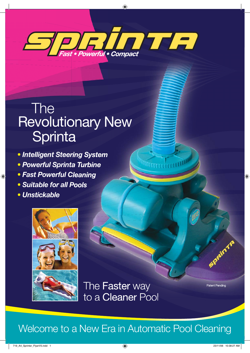

# The Revolutionary New **Sprinta**

- *Intelligent Steering System*
- *Powerful Sprinta Turbine*
- *Fast Powerful Cleaning*
- *Suitable for all Pools*
- *Unstickable*



The Faster way to a Cleaner Pool

Patent Pending

SPAINTS

## Welcome to a New Era in Automatic Pool Cleaning